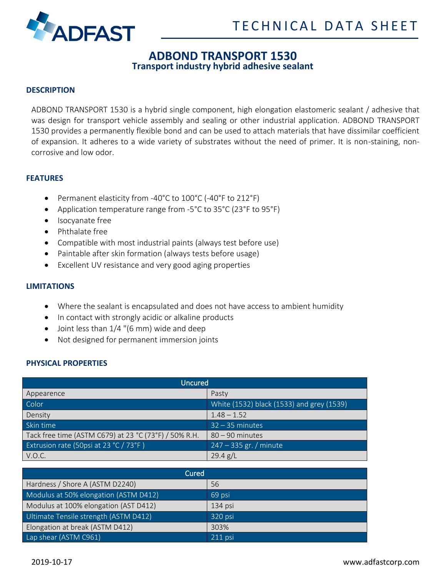



# **ADBOND TRANSPORT 1530**

**Transport industry hybrid adhesive sealant**

## **DESCRIPTION**

ADBOND TRANSPORT 1530 is a hybrid single component, high elongation elastomeric sealant / adhesive that was design for transport vehicle assembly and sealing or other industrial application. ADBOND TRANSPORT 1530 provides a permanently flexible bond and can be used to attach materials that have dissimilar coefficient of expansion. It adheres to a wide variety of substrates without the need of primer. It is non-staining, noncorrosive and low odor.

#### **FEATURES**

- Permanent elasticity from -40°C to 100°C (-40°F to 212°F)
- Application temperature range from -5°C to 35°C (23°F to 95°F)
- Isocyanate free
- Phthalate free
- Compatible with most industrial paints (always test before use)
- Paintable after skin formation (always tests before usage)
- Excellent UV resistance and very good aging properties

# **LIMITATIONS**

- Where the sealant is encapsulated and does not have access to ambient humidity
- In contact with strongly acidic or alkaline products
- Joint less than 1/4 "(6 mm) wide and deep
- Not designed for permanent immersion joints

# **PHYSICAL PROPERTIES**

| Uncured                                               |                                           |
|-------------------------------------------------------|-------------------------------------------|
| Appearence                                            | Pasty                                     |
| Color                                                 | White (1532) black (1533) and grey (1539) |
| Density                                               | $1.48 - 1.52$                             |
| Skin time                                             | $32 - 35$ minutes                         |
| Tack free time (ASTM C679) at 23 °C (73°F) / 50% R.H. | $80 - 90$ minutes                         |
| Extrusion rate (50psi at 23 °C / 73°F)                | $247 - 335$ gr. / minute                  |
| V.O.C.                                                | 29.4 g/L                                  |

| Cured                                 |           |
|---------------------------------------|-----------|
| Hardness / Shore A (ASTM D2240)       | 56        |
| Modulus at 50% elongation (ASTM D412) | 69 psi    |
| Modulus at 100% elongation (AST D412) | $134$ psi |
| Ultimate Tensile strength (ASTM D412) | 320 psi   |
| Elongation at break (ASTM D412)       | 303%      |
| Lap shear (ASTM C961)                 | 211 psi   |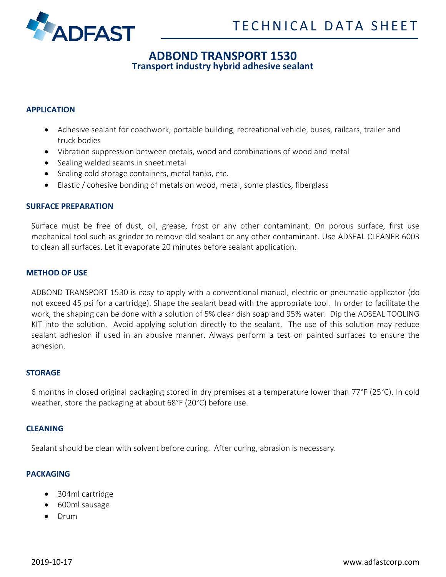

# **ADBOND TRANSPORT 1530**

**Transport industry hybrid adhesive sealant**

# **APPLICATION**

- Adhesive sealant for coachwork, portable building, recreational vehicle, buses, railcars, trailer and truck bodies
- Vibration suppression between metals, wood and combinations of wood and metal
- Sealing welded seams in sheet metal
- Sealing cold storage containers, metal tanks, etc.
- Elastic / cohesive bonding of metals on wood, metal, some plastics, fiberglass

#### **SURFACE PREPARATION**

Surface must be free of dust, oil, grease, frost or any other contaminant. On porous surface, first use mechanical tool such as grinder to remove old sealant or any other contaminant. Use ADSEAL CLEANER 6003 to clean all surfaces. Let it evaporate 20 minutes before sealant application.

#### **METHOD OF USE**

ADBOND TRANSPORT 1530 is easy to apply with a conventional manual, electric or pneumatic applicator (do not exceed 45 psi for a cartridge). Shape the sealant bead with the appropriate tool. In order to facilitate the work, the shaping can be done with a solution of 5% clear dish soap and 95% water. Dip the ADSEAL TOOLING KIT into the solution. Avoid applying solution directly to the sealant. The use of this solution may reduce sealant adhesion if used in an abusive manner. Always perform a test on painted surfaces to ensure the adhesion.

#### **STORAGE**

6 months in closed original packaging stored in dry premises at a temperature lower than 77°F (25°C). In cold weather, store the packaging at about 68°F (20°C) before use.

#### **CLEANING**

Sealant should be clean with solvent before curing. After curing, abrasion is necessary.

#### **PACKAGING**

- 304ml cartridge
- 600ml sausage
- Drum